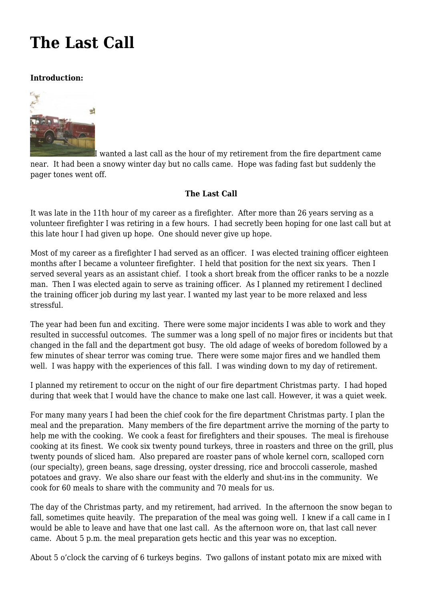## **[The Last Call](https://www.garystrattonfirefighter.com/2015/08/06/the-last-call/)**

## **Introduction:**



[I](https://www.garystrattonfirefighter.com/wp-content/uploads/2015/08/Barn_004.jpg) wanted a last call as the hour of my retirement from the fire department came near. It had been a snowy winter day but no calls came. Hope was fading fast but suddenly the pager tones went off.

## **The Last Call**

It was late in the 11th hour of my career as a firefighter. After more than 26 years serving as a volunteer firefighter I was retiring in a few hours. I had secretly been hoping for one last call but at this late hour I had given up hope. One should never give up hope.

Most of my career as a firefighter I had served as an officer. I was elected training officer eighteen months after I became a volunteer firefighter. I held that position for the next six years. Then I served several years as an assistant chief. I took a short break from the officer ranks to be a nozzle man. Then I was elected again to serve as training officer. As I planned my retirement I declined the training officer job during my last year. I wanted my last year to be more relaxed and less stressful.

The year had been fun and exciting. There were some major incidents I was able to work and they resulted in successful outcomes. The summer was a long spell of no major fires or incidents but that changed in the fall and the department got busy. The old adage of weeks of boredom followed by a few minutes of shear terror was coming true. There were some major fires and we handled them well. I was happy with the experiences of this fall. I was winding down to my day of retirement.

I planned my retirement to occur on the night of our fire department Christmas party. I had hoped during that week that I would have the chance to make one last call. However, it was a quiet week.

For many many years I had been the chief cook for the fire department Christmas party. I plan the meal and the preparation. Many members of the fire department arrive the morning of the party to help me with the cooking. We cook a feast for firefighters and their spouses. The meal is firehouse cooking at its finest. We cook six twenty pound turkeys, three in roasters and three on the grill, plus twenty pounds of sliced ham. Also prepared are roaster pans of whole kernel corn, scalloped corn (our specialty), green beans, sage dressing, oyster dressing, rice and broccoli casserole, mashed potatoes and gravy. We also share our feast with the elderly and shut-ins in the community. We cook for 60 meals to share with the community and 70 meals for us.

The day of the Christmas party, and my retirement, had arrived. In the afternoon the snow began to fall, sometimes quite heavily. The preparation of the meal was going well. I knew if a call came in I would be able to leave and have that one last call. As the afternoon wore on, that last call never came. About 5 p.m. the meal preparation gets hectic and this year was no exception.

About 5 o'clock the carving of 6 turkeys begins. Two gallons of instant potato mix are mixed with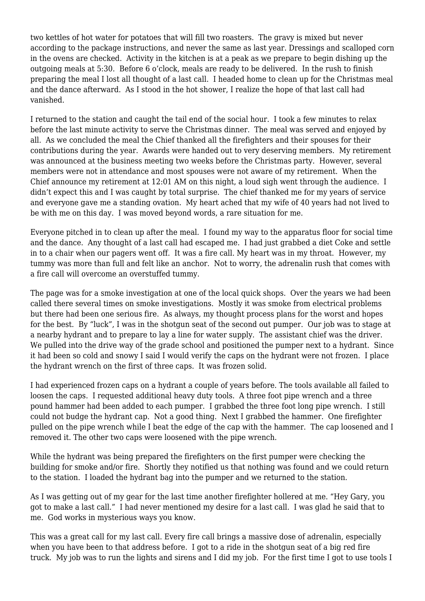two kettles of hot water for potatoes that will fill two roasters. The gravy is mixed but never according to the package instructions, and never the same as last year. Dressings and scalloped corn in the ovens are checked. Activity in the kitchen is at a peak as we prepare to begin dishing up the outgoing meals at 5:30. Before 6 o'clock, meals are ready to be delivered. In the rush to finish preparing the meal I lost all thought of a last call. I headed home to clean up for the Christmas meal and the dance afterward. As I stood in the hot shower, I realize the hope of that last call had vanished.

I returned to the station and caught the tail end of the social hour. I took a few minutes to relax before the last minute activity to serve the Christmas dinner. The meal was served and enjoyed by all. As we concluded the meal the Chief thanked all the firefighters and their spouses for their contributions during the year. Awards were handed out to very deserving members. My retirement was announced at the business meeting two weeks before the Christmas party. However, several members were not in attendance and most spouses were not aware of my retirement. When the Chief announce my retirement at 12:01 AM on this night, a loud sigh went through the audience. I didn't expect this and I was caught by total surprise. The chief thanked me for my years of service and everyone gave me a standing ovation. My heart ached that my wife of 40 years had not lived to be with me on this day. I was moved beyond words, a rare situation for me.

Everyone pitched in to clean up after the meal. I found my way to the apparatus floor for social time and the dance. Any thought of a last call had escaped me. I had just grabbed a diet Coke and settle in to a chair when our pagers went off. It was a fire call. My heart was in my throat. However, my tummy was more than full and felt like an anchor. Not to worry, the adrenalin rush that comes with a fire call will overcome an overstuffed tummy.

The page was for a smoke investigation at one of the local quick shops. Over the years we had been called there several times on smoke investigations. Mostly it was smoke from electrical problems but there had been one serious fire. As always, my thought process plans for the worst and hopes for the best. By "luck", I was in the shotgun seat of the second out pumper. Our job was to stage at a nearby hydrant and to prepare to lay a line for water supply. The assistant chief was the driver. We pulled into the drive way of the grade school and positioned the pumper next to a hydrant. Since it had been so cold and snowy I said I would verify the caps on the hydrant were not frozen. I place the hydrant wrench on the first of three caps. It was frozen solid.

I had experienced frozen caps on a hydrant a couple of years before. The tools available all failed to loosen the caps. I requested additional heavy duty tools. A three foot pipe wrench and a three pound hammer had been added to each pumper. I grabbed the three foot long pipe wrench. I still could not budge the hydrant cap. Not a good thing. Next I grabbed the hammer. One firefighter pulled on the pipe wrench while I beat the edge of the cap with the hammer. The cap loosened and I removed it. The other two caps were loosened with the pipe wrench.

While the hydrant was being prepared the firefighters on the first pumper were checking the building for smoke and/or fire. Shortly they notified us that nothing was found and we could return to the station. I loaded the hydrant bag into the pumper and we returned to the station.

As I was getting out of my gear for the last time another firefighter hollered at me. "Hey Gary, you got to make a last call." I had never mentioned my desire for a last call. I was glad he said that to me. God works in mysterious ways you know.

This was a great call for my last call. Every fire call brings a massive dose of adrenalin, especially when you have been to that address before. I got to a ride in the shotgun seat of a big red fire truck. My job was to run the lights and sirens and I did my job. For the first time I got to use tools I